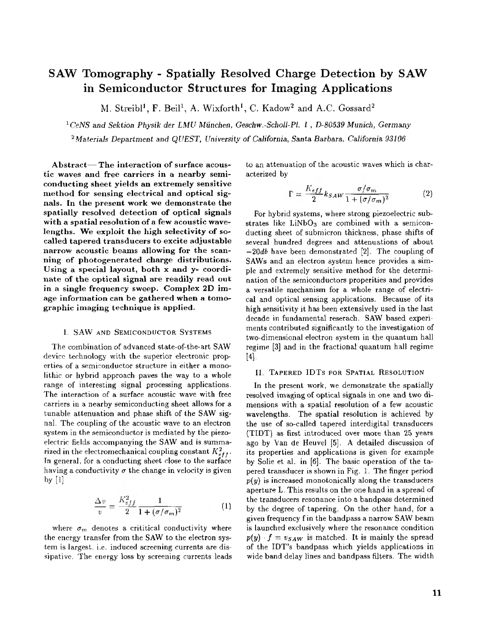# **SAW Tomography** - **Spatially Resolved Charge Detection by SAW in Semiconductor Structures for Imaging Applications**

M. Streibl<sup>1</sup>, F. Beil<sup>1</sup>, A. Wixforth<sup>1</sup>, C. Kadow<sup>2</sup> and A.C. Gossard<sup>2</sup>

<sup>1</sup> CeNS and Sektion Physik der **LMU** München, Geschw.-Scholl-Pl. 1, D-80539 Munich, Germany

<sup>2</sup> Materials Department and *QUEST*, University of California, Santa Barbara, California 93106

tic waves and free carriers in a nearby semi-A b stract-The interaction of surface acousconducting sheet yields an extremely sensitive method for sensing electrical and optical signals. In the present work we demonstrate the spatially resolved detection of optical signals with a spatial resolution of a few acoustic wavelengths. We exploit the high selectivity of socalled tapered transducers to excite adjustable n a rrow acoustic beams allowing for the scanning of photogenerated charge distributions. nate of the optical signal are readily read out Using a special layout, both x and y- coordiage information can be gathered when a tomoin a single frequency sweep. Complex 2D imgraphic imaging technique is applied.

#### **1. SAW AND SEMICONDUCTOR SYSTEMS**

The combination of advanced state-of-the-art SAW device technology with the superior electronic properties of a semiconductor structure in either a monolithic or hybrid approach paves the way to a whole The interaction of a surface acoustic wave with free range of interesting signal processing applications. carriers in a nearby semiconducting sheet allows for a tunable attenuation and phase shift of the SAW signal. The coupling of the acoustic wave to an electron system in the semiconductor is mediated by the piezoelectric fields accompanying the **SAW** and is summarized in the electromechanical coupling constant  $K_{eff}^2$ . having a conductivity  $\sigma$  the change in velocity is given In general, for a conducting sheet close to the surface by  $[1]$ 

$$
\frac{\Delta v}{v} = \frac{K_{eff}^2}{2} \frac{1}{1 + (\sigma/\sigma_m)^2}
$$
 (1)

the energy transfer from the **SAW** to the electron syswhere  $\sigma_m$  denotes a crititical conductivity where tem is largest. i.e. induced screening currents are dissipative. The energy loss by screening currents leads to an attenuation of the acoustic waves which is characterized by

$$
\Gamma = \frac{K_{eff}}{2} k_{SAW} \frac{\sigma/\sigma_m}{1 + (\sigma/\sigma_m)^2}
$$
 (2)

strates like  $LiNbO<sub>3</sub>$  are combined with a semicon-For hybrid systems, where strong piezoelectric subducting sheet of submicron thickness, phase shifts of several hundred degrees and attenuations of about  $-20d\theta$  have been demonstrated [2]. The coupling of ple and extremely sensitive method for the determi-SAWs and an electron system hence provides a simnation of the semiconductors properities and provides a versatile mechanism for a whole range of electrical and optical sensing applications. Because of its high sensitivity it has been extensively used in the last decade in fundamental reserach. SAW based experiments contributed significantly to the investigation of two-dimensional electron system in the quantum hall regime [3] and in the fractional quantum hall regime 141.

### **II.** TAPERED IDTS FOR SPATIAL RESOLUTION

resolved imaging of optical signals in one and two di-In the present work, we demonstrate the spatially mensions with a spatial resolution of a fewacoustic wavelengths. The spatial resolution is achieved by the use of so-called tapered interdigital transducers ago by Van de Heuvel **[5]. A** detailed discussion of (TIDT) as first introduced overmore than *<sup>25</sup>* years its properties and applications is given for example by Solie et al. in [6]. The basic operation of the tapered transducer is shown in Fig. l. The finger period  $p(y)$  is increased monotonically along the transducers aperture L. This results on the one hand in a spread of the transducers resonance into a bandpass determined by the degree of tapering. On the other hand, for a given frequency fin the bandpass a narrow**SAW** beam  $p(y) \cdot f = v_{SAW}$  is matched. It is mainly the spread is launched exclusively where the resonance condition of the IDT's bandpass which yields applications in wide band delay lines and bandpass filters. The width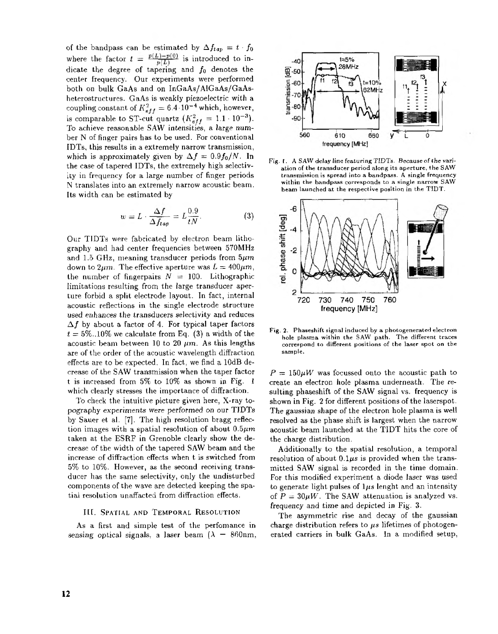of the bandpass can be estimated by  $\Delta f_{tap} = t \cdot f_0$ where the factor  $t = \frac{p(L)-p(0)}{p(L)}$  is introduced to indicate the degree of tapering and  $f_0$  denotes the center frequency. Our experiments were performed both on bulk GaAs and on InGaAs/AlGaAs/GaAsheterostructures. GaAs is weakly piezoelectric with a coupling constant of  $K_{eff}^2 = 6.4 \cdot 10^{-4}$  which, however, To achieve reasonable SAW intensities, a large numis comparable to ST-cut quartz  $(K_{eff}^2 = 1.1 \cdot 10^{-3})$ . her N of finger pairs has to be used. For conventional IDTs, this results in a extremely narrow transmission, the case of tapered IDTs, the extremely high selectivwhich is approximately given by  $\Delta f = 0.9 f_0 / N$ . In ity in frequency for a large number of finger periods N translates into an extremely narrow acoustic beam. Its width can be estimated by

$$
w = L \cdot \frac{\Delta f}{\Delta f_{tap}} = L \frac{0.9}{tN}.
$$
 (3)

Our TIDTs were fabricated by electron beam lithography and had center frequencies between 570MHz and 1.5 GHz, meaning transducer periods from  $5\mu m$ down to  $2\mu m$ . The effective aperture was  $L = 400 \mu m$ , the number of fingerpairs  $N = 100$ . Lithographic limitations resulting from the large transducer aperture forbid a split electrode layout. In fact, internal acoustic reflections in the single electrode structure used enhances the transducers selectivity and reduces  $\Delta f$  by about a factor of 4. For typical taper factors  $t = 5\%$ ..10% we calculate from Eq. (3) a width of the acoustic beam between 10 to 20  $\mu$ m. As this lengths are of the order of the acoustic wavelength diffraction effects are to be expected. In fact, we find a lOdB det is increased from  $5\%$  to  $10\%$  as shown in Fig. 1 crease of the SAW transmission when the taper factor which clearly stresses the importance of diffraction.

pography experiments were performed on our TIDTs To check the intuitive picture given here, X-ray toby Sauer et, al. [7]. The high resolution bragg reflection images with a spatial resolution of about *0.5pm* taken at the CSRF in Grenoble clearly show the decrease of the width of the tapered SAW beam and the increase of diffraction effects when t is switched from ducer has the same selectivity, only the undisturbed 5% to 10%. However, as the second receiving transcomponents of the wave are detected keeping the spatial resolution unaffacted from diffraction effects.

## **111.** SPATIAL AND TEMPORAL RESOLUTION

sensing optical signals, a laser beam ( $\lambda$  - 860nm, As a first and simple test of the perfomance in



**[Fig.](#page--1-0) 1. A SAW delay line** featuringTIDTs. **Becauseof***the* **variation of the transducer period along its aperture. the**SAW **transmission is spread into a bandpass. A single frequency within the bandpass corresponds to a single narrow SAW beam launched at the respective position in the** TIDT.



**[Fig.](#page--1-0)** *2.* **Phaseshift signal induced** by **a photogenerated electron** hole plasma within the SAW path. The different traces **correspond to differentpositions of the laser spot on the sample.**

 $P = 150 \mu W$  was focussed onto the acoustic path to create an electron hole plasma underneath. The resulting phaseshift of the SAW signal vs. frequency is shown in [Fig.](#page--1-0) **2** for different positions of the laserspot. The gaussian shape of the electron hole plasma is well resolved as the phase shift is largest when the narrow acoustic beam launched at the TIDT hits the core of the charge distribution.

resolution of about  $0.1\mu s$  is provided when the trans-Additionally to the spatial resolution, a temporal mitted SAW signal is recorded in the time domain. For this modified experiment a diode laser was used to generate light pulses of  $1\mu s$  lenght and an intensity of  $P = 30 \mu W$ . The SAW attenuation is analyzed vs. frequency and time and depicted in [Fig.](#page--1-0) **3.**

The asymmetric rise and decay of the gaussian charge distribution refers to  $\mu s$  lifetimes of photogenerated carriers in bulk GaAs. In a modified setup,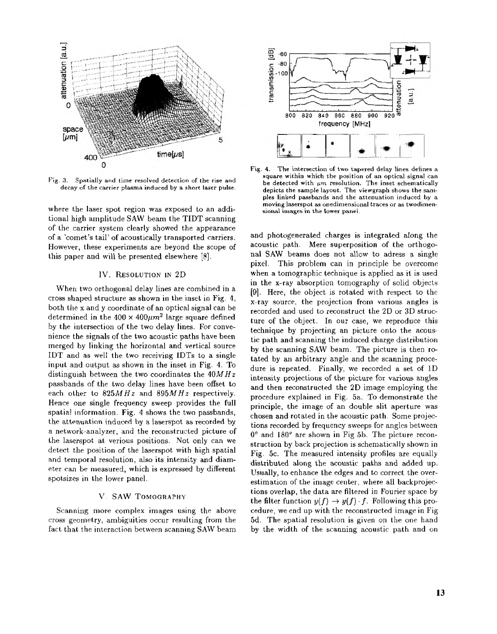<span id="page-2-0"></span>

[Fig.](#page--1-0) 3. Spatially and time resolved detection of the rise and **decay of the carrier plasma induced by a short h e r pulse.**

where the laser spot region was exposed to an addiof the carrier system clearly showed the appearance tional high amplitude SAW beam the TIDT scanning of a 'comet's tail' of acoustically transported carriers. However, these experiments are beyond the scope of this paper and will be presented elsewhere [8].

#### IV. RESOLUTION IN 2D

When two orthogonal delay lines are combined in a cross shaped structure as shown in the inset in Fig. 4, determined in the  $400 \times 400 \mu m^2$  large square defined both the x and y coordinate of an optical signal can be nience the signals of the two acoustic paths have been by the intersection of the two delay lines. For convemerged by linking the horizontal and vertical source IDT and as well the two receiving IDTs to a single input and output as shown in the inset in Fig. **4.** To distinguish between the two coordinates the  $40MHz$ each other to  $825MHz$  and  $895MHz$  respectively. passbands of the two delay lines have been offset to spatial information. Fig. **4** shows the two passbands, Hence one single frequency sweep provides the full the attenuation induced by a laserspot as recorded by a network-analyzer, and the reconstructed picture of detect the position of the laserspot with high spatial the laserspot at verious positions. Not only can we eter can be measured, which is expressed by different and temporal resolution, also its intensity and diamspotsizes in the lower panel.

## **V.** SAW TOMOGRAPHY

Scanning more complex images using the above cross geometry, ambiguities occur resulting from the fact that the interaction between scanning SAW beam



Fig. 4. The intersection of two tapered delay lines defines a **square withinwhich the position of an opticalsignal can** be detected with  $\mu$ m resolution. The inset schematically depicts the sample layout. The viewgraph shows the sam**ples linked passbandsandtheattenuationinduced by a moving laserspotas onedimensional traces or as twodimensional images in the lower panel.**

and photogenerated charges is integrated along the acoustic path. Mere superposition of the orthogonal SAW beams does not allow to adress a single pixel. This problem can in principle be overcome when **a** tomographic technique is applied as it is used in the x-ray absorption tomography of solid objects [9]. Here, the object is rotated with respect to the x-ray source, the projection from various angles is recorded and used to reconstruct the 2D or 3D structechnique by projecting an picture onto the acousture of the object. In our case, we reproduce this tic path and scanning the induced charge distribution by the scanning SAW beam. The picture is then rodure is repeated. Finally, we recorded a set of 1D tated by an arbitrary angle and the scanning proceintensity projections of the picture for various angles and then reconstructed the 2D image employing the procedure explained in Fig. 5a. To demonstrate the principle, the image of an double slit aperture was chosen and rotated in the acoustic path. Some projections recorded by frequency sweeps for angles between struction by back projection is schematically shown in  $0^{\circ}$  and  $180^{\circ}$  are shown in Fig 5b. The picture recondistributed along the acoustic paths and added up. Fig. 5c. The measured intensity profiles are equally Usually, to enhance the edges and to correct the overestimation of the image center, where all backprojections overlap, the data are filtered in Fourier space by estimation of the image center, where all backprojec-<br>tions overlap, the data are filtered in Fourier space by<br>the filter function  $y(f) \rightarrow y(f) \cdot f$ . Following this pro-<br>cooling we and up with the propriented image in Fig. cedure, we end up with the reconstructed image in Fig 5d. The spatial resolution is given on the one hand by the width of the scanning acoustic path and on